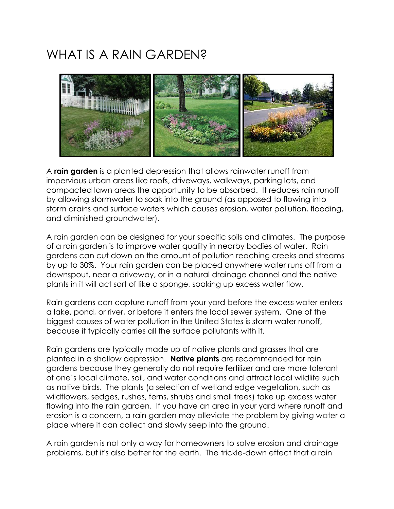## WHAT IS A RAIN GARDEN?



A **rain garden** is a planted depression that allows rainwater runoff from impervious urban areas like roofs, driveways, walkways, parking lots, and compacted lawn areas the opportunity to be absorbed. It reduces rain runoff by allowing stormwater to soak into the ground (as opposed to flowing into storm drains and surface waters which causes erosion, water pollution, flooding, and diminished groundwater).

A rain garden can be designed for your specific soils and climates. The purpose of a rain garden is to improve water quality in nearby bodies of water. Rain gardens can cut down on the amount of pollution reaching creeks and streams by up to 30%. Your rain garden can be placed anywhere water runs off from a downspout, near a driveway, or in a natural drainage channel and the native plants in it will act sort of like a sponge, soaking up excess water flow.

Rain gardens can capture runoff from your yard before the excess water enters a lake, pond, or river, or before it enters the local sewer system. One of the biggest causes of water pollution in the United States is storm water runoff, because it typically carries all the surface pollutants with it.

Rain gardens are typically made up of native plants and grasses that are planted in a shallow depression. **Native plants** are recommended for rain gardens because they generally do not require fertilizer and are more tolerant of one's local climate, soil, and water conditions and attract local wildlife such as native birds. The plants (a selection of wetland edge vegetation, such as wildflowers, sedges, rushes, ferns, shrubs and small trees) take up excess water flowing into the rain garden. If you have an area in your yard where runoff and erosion is a concern, a rain garden may alleviate the problem by giving water a place where it can collect and slowly seep into the ground.

A rain garden is not only a way for homeowners to solve erosion and drainage problems, but it's also better for the earth. The trickle-down effect that a rain